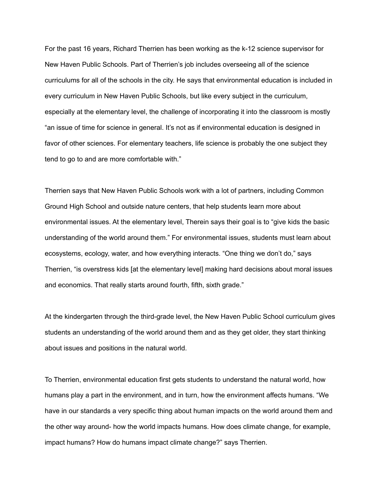For the past 16 years, Richard Therrien has been working as the k-12 science supervisor for New Haven Public Schools. Part of Therrien's job includes overseeing all of the science curriculums for all of the schools in the city. He says that environmental education is included in every curriculum in New Haven Public Schools, but like every subject in the curriculum, especially at the elementary level, the challenge of incorporating it into the classroom is mostly "an issue of time for science in general. It's not as if environmental education is designed in favor of other sciences. For elementary teachers, life science is probably the one subject they tend to go to and are more comfortable with."

Therrien says that New Haven Public Schools work with a lot of partners, including Common Ground High School and outside nature centers, that help students learn more about environmental issues. At the elementary level, Therein says their goal is to "give kids the basic understanding of the world around them." For environmental issues, students must learn about ecosystems, ecology, water, and how everything interacts. "One thing we don't do," says Therrien, "is overstress kids [at the elementary level] making hard decisions about moral issues and economics. That really starts around fourth, fifth, sixth grade."

At the kindergarten through the third-grade level, the New Haven Public School curriculum gives students an understanding of the world around them and as they get older, they start thinking about issues and positions in the natural world.

To Therrien, environmental education first gets students to understand the natural world, how humans play a part in the environment, and in turn, how the environment affects humans. "We have in our standards a very specific thing about human impacts on the world around them and the other way around- how the world impacts humans. How does climate change, for example, impact humans? How do humans impact climate change?" says Therrien.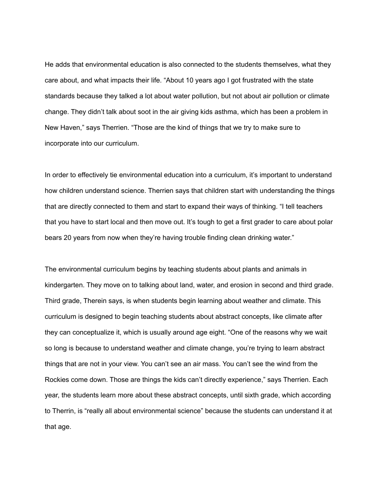He adds that environmental education is also connected to the students themselves, what they care about, and what impacts their life. "About 10 years ago I got frustrated with the state standards because they talked a lot about water pollution, but not about air pollution or climate change. They didn't talk about soot in the air giving kids asthma, which has been a problem in New Haven," says Therrien. "Those are the kind of things that we try to make sure to incorporate into our curriculum.

In order to effectively tie environmental education into a curriculum, it's important to understand how children understand science. Therrien says that children start with understanding the things that are directly connected to them and start to expand their ways of thinking. "I tell teachers that you have to start local and then move out. It's tough to get a first grader to care about polar bears 20 years from now when they're having trouble finding clean drinking water."

The environmental curriculum begins by teaching students about plants and animals in kindergarten. They move on to talking about land, water, and erosion in second and third grade. Third grade, Therein says, is when students begin learning about weather and climate. This curriculum is designed to begin teaching students about abstract concepts, like climate after they can conceptualize it, which is usually around age eight. "One of the reasons why we wait so long is because to understand weather and climate change, you're trying to learn abstract things that are not in your view. You can't see an air mass. You can't see the wind from the Rockies come down. Those are things the kids can't directly experience," says Therrien. Each year, the students learn more about these abstract concepts, until sixth grade, which according to Therrin, is "really all about environmental science" because the students can understand it at that age.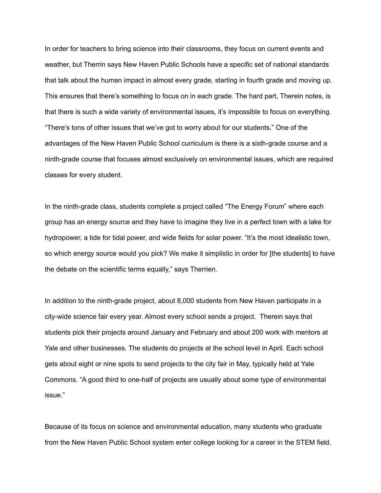In order for teachers to bring science into their classrooms, they focus on current events and weather, but Therrin says New Haven Public Schools have a specific set of national standards that talk about the human impact in almost every grade, starting in fourth grade and moving up. This ensures that there's something to focus on in each grade. The hard part, Therein notes, is that there is such a wide variety of environmental issues, it's impossible to focus on everything. "There's tons of other issues that we've got to worry about for our students." One of the advantages of the New Haven Public School curriculum is there is a sixth-grade course and a ninth-grade course that focuses almost exclusively on environmental issues, which are required classes for every student.

In the ninth-grade class, students complete a project called "The Energy Forum" where each group has an energy source and they have to imagine they live in a perfect town with a lake for hydropower, a tide for tidal power, and wide fields for solar power. "It's the most idealistic town, so which energy source would you pick? We make it simplistic in order for [the students] to have the debate on the scientific terms equally," says Therrien.

In addition to the ninth-grade project, about 8,000 students from New Haven participate in a city-wide science fair every year. Almost every school sends a project. Therein says that students pick their projects around January and February and about 200 work with mentors at Yale and other businesses. The students do projects at the school level in April. Each school gets about eight or nine spots to send projects to the city fair in May, typically held at Yale Commons. "A good third to one-half of projects are usually about some type of environmental issue."

Because of its focus on science and environmental education, many students who graduate from the New Haven Public School system enter college looking for a career in the STEM field.